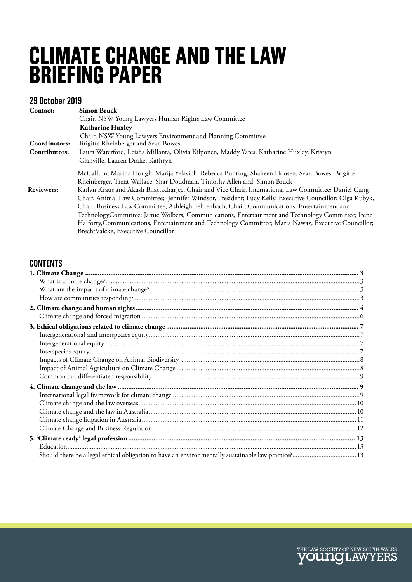# **CLIMATE CHANGE AND THE LAW BRIEFING PAPER**

### **29 October 2019**

| Contact:          | <b>Simon Bruck</b>                                                                                      |
|-------------------|---------------------------------------------------------------------------------------------------------|
|                   | Chair, NSW Young Lawyers Human Rights Law Committee                                                     |
|                   | <b>Katharine Huxley</b>                                                                                 |
|                   | Chair, NSW Young Lawyers Environment and Planning Committee                                             |
| Coordinators:     | Brigitte Rheinberger and Sean Bowes                                                                     |
| Contributors:     | Laura Waterford, Leisha Millanta, Olivia Kilponen, Maddy Yates, Katharine Huxley, Kristyn               |
|                   | Glanville, Lauren Drake, Kathryn                                                                        |
|                   | McCallum, Marina Hough, Marija Yelavich, Rebecca Bunting, Shaheen Hoosen, Sean Bowes, Brigitte          |
|                   | Rheinberger, Trent Wallace, Shar Doudman, Timothy Allen and Simon Bruck                                 |
| <b>Reviewers:</b> | Katlyn Kraus and Akash Bhattacharjee, Chair and Vice Chair, International Law Committee; Daniel Cung,   |
|                   | Chair, Animal Law Committee; Jennifer Windsor, President; Lucy Kelly, Executive Councillor; Olga Kubyk, |
|                   | Chair, Business Law Committee; Ashleigh Fehrenbach, Chair, Communications, Entertainment and            |
|                   | TechnologyCommittee; Jamie Wolbers, Communications, Entertainment and Technology Committee; Irene       |
|                   | Halforty, Communications, Entertainment and Technology Committee; Maria Nawaz, Executive Councillor;    |
|                   | BrechtValcke, Executive Councillor                                                                      |

### **CONTENTS**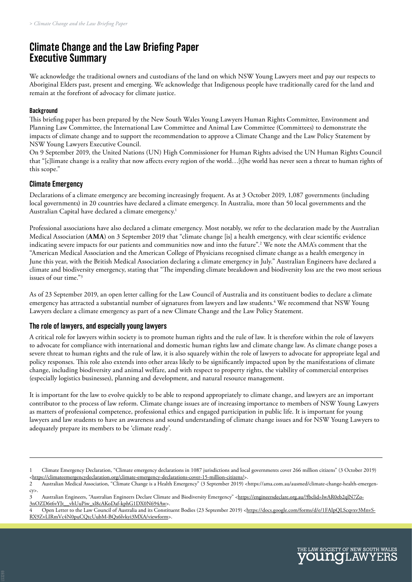# **Climate Change and the Law Briefing Paper Executive Summary**

We acknowledge the traditional owners and custodians of the land on which NSW Young Lawyers meet and pay our respects to Aboriginal Elders past, present and emerging. We acknowledge that Indigenous people have traditionally cared for the land and remain at the forefront of advocacy for climate justice.

#### **Background**

This briefing paper has been prepared by the New South Wales Young Lawyers Human Rights Committee, Environment and Planning Law Committee, the International Law Committee and Animal Law Committee (Committees) to demonstrate the impacts of climate change and to support the recommendation to approve a Climate Change and the Law Policy Statement by NSW Young Lawyers Executive Council.

On 9 September 2019, the United Nations (UN) High Commissioner for Human Rights advised the UN Human Rights Council that "[c]limate change is a reality that now affects every region of the world…[t]he world has never seen a threat to human rights of this scope."

#### **Climate Emergency**

Declarations of a climate emergency are becoming increasingly frequent. As at 3 October 2019, 1,087 governments (including local governments) in 20 countries have declared a climate emergency. In Australia, more than 50 local governments and the Australian Capital have declared a climate emergency.<sup>1</sup>

Professional associations have also declared a climate emergency. Most notably, we refer to the declaration made by the Australian Medical Association (**AMA**) on 3 September 2019 that "climate change [is] a health emergency, with clear scientific evidence indicating severe impacts for our patients and communities now and into the future".2 We note the AMA's comment that the "American Medical Association and the American College of Physicians recognised climate change as a health emergency in June this year, with the British Medical Association declaring a climate emergency in July." Australian Engineers have declared a climate and biodiversity emergency, stating that "The impending climate breakdown and biodiversity loss are the two most serious issues of our time."3

As of 23 September 2019, an open letter calling for the Law Council of Australia and its constituent bodies to declare a climate emergency has attracted a substantial number of signatures from lawyers and law students.4 We recommend that NSW Young Lawyers declare a climate emergency as part of a new Climate Change and the Law Policy Statement.

#### **The role of lawyers, and especially young lawyers**

A critical role for lawyers within society is to promote human rights and the rule of law. It is therefore within the role of lawyers to advocate for compliance with international and domestic human rights law and climate change law. As climate change poses a severe threat to human rights and the rule of law, it is also squarely within the role of lawyers to advocate for appropriate legal and policy responses. This role also extends into other areas likely to be significantly impacted upon by the manifestations of climate change, including biodiversity and animal welfare, and with respect to property rights, the viability of commercial enterprises (especially logistics businesses), planning and development, and natural resource management.

It is important for the law to evolve quickly to be able to respond appropriately to climate change, and lawyers are an important contributor to the process of law reform. Climate change issues are of increasing importance to members of NSW Young Lawyers as matters of professional competence, professional ethics and engaged participation in public life. It is important for young lawyers and law students to have an awareness and sound understanding of climate change issues and for NSW Young Lawyers to adequately prepare its members to be 'climate ready'.

<sup>1</sup> Climate Emergency Declaration, "Climate emergency declarations in 1087 jurisdictions and local governments cover 266 million citizens" (3 October 2019) <[https://climateemergencydeclaration.org/climate-emergency-declarations-cover-15-million-citizens/>](https://climateemergencydeclaration.org/climate-emergency-declarations-cover-15-million-citizens/).

<sup>2</sup> Australian Medical Association, "Climate Change is a Health Emergency" (3 September 2019) <https://ama.com.au/ausmed/climate-change-health-emergency>.

<sup>3</sup> Australian Engineers, "Australian Engineers Declare Climate and Biodiversity Emergency" <[https://engineersdeclare.org.au/?fbclid=IwAR0eb2qlN7Zo-](https://engineersdeclare.org.au/?fbclid=IwAR0eb2qlN7Zo3nOZD6t6vYJt__vhUuPiw_xl8cAKoDaf-kphG1DX0N694Aw)[3nOZD6t6vYJt\\_\\_vhUuPiw\\_xl8cAKoDaf-kphG1DX0N694Aw](https://engineersdeclare.org.au/?fbclid=IwAR0eb2qlN7Zo3nOZD6t6vYJt__vhUuPiw_xl8cAKoDaf-kphG1DX0N694Aw)>.<br>4 Open Letter to the Law Council of Australia and its Constit

Open Letter to the Law Council of Australia and its Constituent Bodies (23 September 2019) [<https://docs.google.com/forms/d/e/1FAIpQLScqvxv3MnvS-](https://docs.google.com/forms/d/e/1FAIpQLScqvxv3MnvSRX9ZvLIRmVc4N0puCQtcUubM-BQx6lvkyi3MXA/viewform)[RX9ZvLIRmVc4N0puCQtcUubM-BQx6lvkyi3MXA/viewform](https://docs.google.com/forms/d/e/1FAIpQLScqvxv3MnvSRX9ZvLIRmVc4N0puCQtcUubM-BQx6lvkyi3MXA/viewform)>.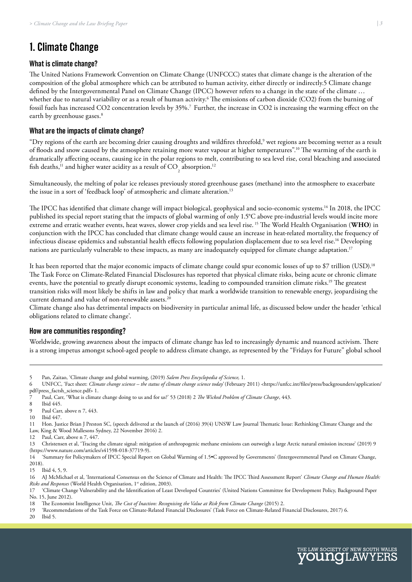# <span id="page-2-0"></span>**1. Climate Change**

#### **What is climate change?**

The United Nations Framework Convention on Climate Change (UNFCCC) states that climate change is the alteration of the composition of the global atmosphere which can be attributed to human activity, either directly or indirectly.5 Climate change defined by the Intergovernmental Panel on Climate Change (IPCC) however refers to a change in the state of the climate … whether due to natural variability or as a result of human activity.<sup>6</sup> The emissions of carbon dioxide (CO2) from the burning of fossil fuels has increased CO2 concentration levels by 35%.<sup>7</sup> Further, the increase in CO2 is increasing the warming effect on the earth by greenhouse gases.<sup>8</sup>

#### **What are the impacts of climate change?**

 $\rm{``Dry}$  regions of the earth are becoming drier causing droughts and wildfires threefold, $\rm{''}$  wet regions are becoming wetter as a result of floods and snow caused by the atmosphere retaining more water vapour at higher temperatures".10 The warming of the earth is dramatically affecting oceans, causing ice in the polar regions to melt, contributing to sea level rise, coral bleaching and associated fish deaths,<sup>11</sup> and higher water acidity as a result of  $CO<sub>2</sub>$  absorption.<sup>12</sup>

Simultaneously, the melting of polar ice releases previously stored greenhouse gases (methane) into the atmosphere to exacerbate the issue in a sort of 'feedback loop' of atmospheric and climate alteration.<sup>13</sup>

The IPCC has identified that climate change will impact biological, geophysical and socio-economic systems.14 In 2018, the IPCC published its special report stating that the impacts of global warming of only 1.5°C above pre-industrial levels would incite more extreme and erratic weather events, heat waves, slower crop yields and sea level rise. 15 The World Health Organisation (**WHO**) in conjunction with the IPCC has concluded that climate change would cause an increase in heat-related mortality,the frequency of infectious disease epidemics and substantial health effects following population displacement due to sea level rise.16 Developing nations are particularly vulnerable to these impacts, as many are inadequately equipped for climate change adaptation.<sup>17</sup>

It has been reported that the major economic impacts of climate change could spur economic losses of up to \$7 trillion (USD).<sup>18</sup> The Task Force on Climate-Related Financial Disclosures has reported that physical climate risks, being acute or chronic climate events, have the potential to greatly disrupt economic systems, leading to compounded transition climate risks.<sup>19</sup> The greatest transition risks will most likely be shifts in law and policy that mark a worldwide transition to renewable energy, jeopardising the current demand and value of non-renewable assets.<sup>20</sup>

Climate change also has detrimental impacts on biodiversity in particular animal life, as discussed below under the header 'ethical obligations related to climate change'.

#### **How are communities responding?**

Worldwide, growing awareness about the impacts of climate change has led to increasingly dynamic and nuanced activism. There is a strong impetus amongst school-aged people to address climate change, as represented by the "Fridays for Future" global school

- 9 Paul Carr, above n 7, 443.
- 10 Ibid 447.

12 Paul, Carr, above n 7, 447.

14 'Summary for Policymakers of IPCC Special Report on Global Warming of 1.5•C approved by Governments' (Intergovernmental Panel on Climate Change, 2018).

15 Ibid 4, 5, 9.

20 Ibid 5.





<sup>5</sup> Pan, Zaitao, 'Climate change and global warming, (2019) *Salem Press Encyclopedia of Science,* 1.

<sup>6</sup> UNFCC, 'Fact sheet: *Climate change science – the status of climate change science today*' (February 2011) <https://unfcc.int/files/press/backgrounders/application/ pdf/press\_factsh\_science.pdf> 1.

<sup>7</sup> Paul, Carr, 'What is climate change doing to us and for us?' 53 (2018) 2 *The Wicked Problem of Climate Change*, 443.

Ibid 445.

<sup>11</sup> Hon. Justice Brian J Preston SC, (speech delivered at the launch of (2016) 39(4) UNSW Law Journal Thematic Issue: Rethinking Climate Change and the Law, King & Wood Mallesons Sydney, 22 November 2016) 2.

<sup>13</sup> Christensen et al, 'Tracing the climate signal: mitigation of anthropogenic methane emissions can outweigh a large Arctic natural emission increase' (2019) 9 (https://www.nature.com/articles/s41598-018-37719-9).

<sup>16</sup> AJ McMichael et al, 'International Consensus on the Science of Climate and Health: The IPCC Third Assessment Report' *Climate Change and Human Health: Risks and Responses* (World Health Organisation, 1<sup>st</sup> edition, 2003).

<sup>17 &#</sup>x27;Climate Change Vulnerability and the Identification of Least Developed Countries' (United Nations Committee for Development Policy, Background Paper No. 15, June 2012).

<sup>18</sup> The Economist Intelligence Unit, *The Cost of Inaction: Recognising the Value at Risk from Climate Change* (2015) 2.<br>19 Secommendations of the Task Force on Climate-Related Financial Disclosures' (Task Force on Climate-

<sup>19 &#</sup>x27;Recommendations of the Task Force on Climate-Related Financial Disclosures' (Task Force on Climate-Related Financial Disclosures, 2017) 6.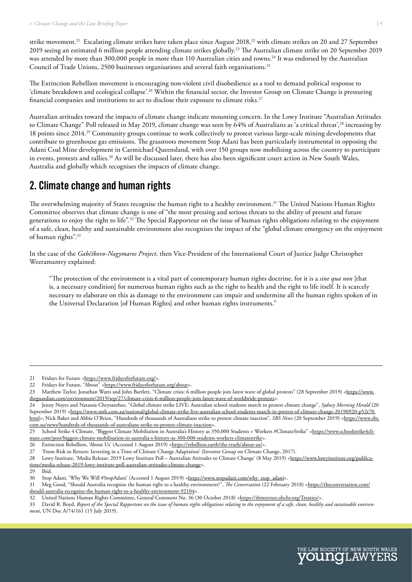<span id="page-3-0"></span>strike movement.<sup>21</sup> Escalating climate strikes have taken place since August 2018,<sup>22</sup> with climate strikes on 20 and 27 September 2019 seeing an estimated 6 million people attending climate strikes globally.23 The Australian climate strike on 20 September 2019 was attended by more than 300,000 people in more than 110 Australian cities and towns.24 It was endorsed by the Australian Council of Trade Unions, 2500 businesses organisations and several faith organisations.25

The Extinction Rebellion movement is encouraging non-violent civil disobedience as a tool to demand political response to 'climate breakdown and ecological collapse'.26 Within the financial sector, the Investor Group on Climate Change is pressuring financial companies and institutions to act to disclose their exposure to climate risks.27

Australian attitudes toward the impacts of climate change indicate mounting concern. In the Lowy Institute "Australian Attitudes to Climate Change" Poll released in May 2019, climate change was seen by  $64\%$  of Australians as  $a$  critical threat',<sup>28</sup> increasing by 18 points since 2014.29 Community groups continue to work collectively to protest various large-scale mining developments that contribute to greenhouse gas emissions. The grassroots movement Stop Adani has been particularly instrumental in opposing the Adani Coal Mine development in Carmichael Queensland, with over 150 groups now mobilising across the country to participate in events, protests and rallies.30 As will be discussed later, there has also been significant court action in New South Wales, Australia and globally which recognises the impacts of climate change.

### **2. Climate change and human rights**

The overwhelming majority of States recognise the human right to a healthy environment.<sup>31</sup> The United Nations Human Rights Committee observes that climate change is one of "the most pressing and serious threats to the ability of present and future generations to enjoy the right to life".32 The Special Rapporteur on the issue of human rights obligations relating to the enjoyment of a safe, clean, healthy and sustainable environment also recognises the impact of the "global climate emergency on the enjoyment of human rights".33

In the case of the *Gabčíkovo-Nagymaros Project*, then Vice-President of the International Court of Justice Judge Christopher Weeramantry explained:

"The protection of the environment is a vital part of contemporary human rights doctrine, for it is a *sine qua non* [that is, a necessary condition] for numerous human rights such as the right to health and the right to life itself. It is scarcely necessary to elaborate on this as damage to the environment can impair and undermine all the human rights spoken of in the Universal Declaration [of Human Rights] and other human rights instruments."



<sup>21</sup> Fridays for Future [<https://www.fridaysforfuture.org/>](https://www.fridaysforfuture.org/).

<sup>22</sup> Fridays for Future, "About" <[https://www.fridaysforfuture.org/about>](https://www.fridaysforfuture.org/about).

<sup>23</sup> Matthew Taylor, Jonathan Watts and John Bartlett, "Climate crisis: 6 million people join latest wave of global protests" (28 September 2019) <[https://www.](https://www.theguardian.com/environment/2019/sep/27/climate-crisis-6-million-people-join-latest-wave-of-worldwide-protests) [theguardian.com/environment/2019/sep/27/climate-crisis-6-million-people-join-latest-wave-of-worldwide-protests>](https://www.theguardian.com/environment/2019/sep/27/climate-crisis-6-million-people-join-latest-wave-of-worldwide-protests).

<sup>24</sup> Jenny Noyes and Natassia Chrysanthos, "Global climate strike LIVE: Australian school students march to protest climate change", *Sydney Morning Herald* (20 September 2019) <[https://www.smh.com.au/national/global-climate-strike-live-australian-school-students-march-in-protest-of-climate-change-20190920-p52t70.](https://www.smh.com.au/national/global-climate-strike-live-australian-school-students-march-in-protest-of-climate-change-20190920-p52t70.html) [html](https://www.smh.com.au/national/global-climate-strike-live-australian-school-students-march-in-protest-of-climate-change-20190920-p52t70.html)>; Nick Baker and Abbie O'Brien, "Hundreds of thousands of Australians strike to protest climate inaction", *SBS News* (20 September 2019) [<https://www.sbs.](https://www.sbs.com.au/news/hundreds-of-thousands-of-australians-strike-to-protest-climate-inaction) [com.au/news/hundreds-of-thousands-of-australians-strike-to-protest-climate-inaction>](https://www.sbs.com.au/news/hundreds-of-thousands-of-australians-strike-to-protest-climate-inaction).

<sup>25</sup> School Strike 4 Climate, "Biggest Climate Mobiliation in Australia's History as 350,000 Students + Workers #ClimateStrike" [<https://www.schoolstrike4cli](https://www.schoolstrike4climate.com/post/biggest-climate-mobilisation-in-australia-s-history-as-300-000-students-workers-climatestrike)[mate.com/post/biggest-climate-mobilisation-in-australia-s-history-as-300-000-students-workers-climatestrike>](https://www.schoolstrike4climate.com/post/biggest-climate-mobilisation-in-australia-s-history-as-300-000-students-workers-climatestrike).

<sup>26</sup> Extinction Rebellion, 'About Us' (Accessed 1 August 2019) [<https://rebellion.earth/the-truth/about-us/>](https://rebellion.earth/the-truth/about-us/)

<sup>27 &#</sup>x27;From Risk to Return: Investing in a Time of Climate Change Adaptation' (Investor Group on Climate Change, 2017).

Lowy Institute, 'Media Release: 2019 Lowy Institute Poll – Australian Attitudes to Climate Change' (8 May 2019) <[https://www.lowyinstitute.org/publica](https://www.lowyinstitute.org/publications/media-release-2019-lowy-institute-poll-australian-attitudes-climate-change)[tions/media-release-2019-lowy-institute-poll-australian-attitudes-climate-change](https://www.lowyinstitute.org/publications/media-release-2019-lowy-institute-poll-australian-attitudes-climate-change)>.

Ibid.

<sup>30</sup> Stop Adani, 'Why We Will #StopAdani' (Accessed 1 August 2019) <[https://www.stopadani.com/why\\_stop\\_adani>](https://www.stopadani.com/why_stop_adani).

<sup>31</sup> Meg Good, "Should Australia recognise the human right to a healthy environment?", *The Conversation* (22 February 2018) [<https://theconversation.com/](https://theconversation.com/should-australia-recognise-the-human-right-to-a-healthy-environment-92104) [should-australia-recognise-the-human-right-to-a-healthy-environment-92104](https://theconversation.com/should-australia-recognise-the-human-right-to-a-healthy-environment-92104)>.

<sup>32</sup> United Nations Human Rights Committee, General Comment No. 36 (30 October 2018) <[https://tbinternet.ohchr.org/Treaties/>](https://tbinternet.ohchr.org/Treaties/CCPR/Shared%20Documents/1_Global/CCPR_C_GC_36_8785_E.pdf).

<sup>33</sup> David R. Boyd, *Report of the Special Rapporteur on the issue of human rights obligations relating to the enjoyment of a safe, clean, healthy and sustainable environment*, UN Doc A/74/161 (15 July 2019).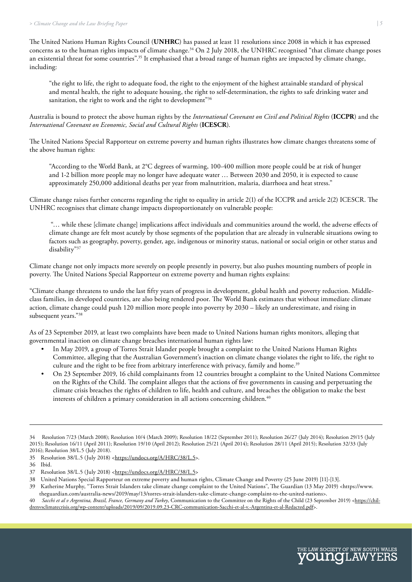The United Nations Human Rights Council (**UNHRC**) has passed at least 11 resolutions since 2008 in which it has expressed concerns as to the human rights impacts of climate change.<sup>34</sup> On 2 July 2018, the UNHRC recognised "that climate change poses an existential threat for some countries".<sup>35</sup> It emphasised that a broad range of human rights are impacted by climate change, including:

"the right to life, the right to adequate food, the right to the enjoyment of the highest attainable standard of physical and mental health, the right to adequate housing, the right to self-determination, the rights to safe drinking water and sanitation, the right to work and the right to development"<sup>36</sup>

Australia is bound to protect the above human rights by the *International Covenant on Civil and Political Rights* (**ICCPR**) and the *International Covenant on Economic, Social and Cultural Rights* (**ICESCR**).

The United Nations Special Rapporteur on extreme poverty and human rights illustrates how climate changes threatens some of the above human rights:

"According to the World Bank, at 2°C degrees of warming, 100-400 million more people could be at risk of hunger and 1-2 billion more people may no longer have adequate water … Between 2030 and 2050, it is expected to cause approximately 250,000 additional deaths per year from malnutrition, malaria, diarrhoea and heat stress."

Climate change raises further concerns regarding the right to equality in article 2(1) of the ICCPR and article 2(2) ICESCR. The UNHRC recognises that climate change impacts disproportionately on vulnerable people:

 "… while these [climate change] implications affect individuals and communities around the world, the adverse effects of climate change are felt most acutely by those segments of the population that are already in vulnerable situations owing to factors such as geography, poverty, gender, age, indigenous or minority status, national or social origin or other status and disability"37

Climate change not only impacts more severely on people presently in poverty, but also pushes mounting numbers of people in poverty. The United Nations Special Rapporteur on extreme poverty and human rights explains:

"Climate change threatens to undo the last fifty years of progress in development, global health and poverty reduction. Middleclass families, in developed countries, are also being rendered poor. The World Bank estimates that without immediate climate action, climate change could push 120 million more people into poverty by 2030 – likely an underestimate, and rising in subsequent years."38

As of 23 September 2019, at least two complaints have been made to United Nations human rights monitors, alleging that governmental inaction on climate change breaches international human rights law:

- In May 2019, a group of Torres Strait Islander people brought a complaint to the United Nations Human Rights Committee, alleging that the Australian Government's inaction on climate change violates the right to life, the right to culture and the right to be free from arbitrary interference with privacy, family and home.<sup>39</sup>
- On 23 September 2019, 16 child complainants from 12 countries brought a complaint to the United Nations Committee on the Rights of the Child. The complaint alleges that the actions of five governments in causing and perpetuating the climate crisis breaches the rights of children to life, health and culture, and breaches the obligation to make the best interests of children a primary consideration in all actions concerning children.<sup>40</sup>



<sup>34</sup> Resolution 7/23 (March 2008); Resolution 10/4 (March 2009); Resolution 18/22 (September 2011); Resolution 26/27 (July 2014); Resolution 29/15 (July 2015); Resolution 16/11 (April 2011); Resolution 19/10 (April 2012); Resolution 25/21 (April 2014); Resolution 28/11 (April 2015); Resolution 32/33 (July 2016); Resolution 38/L.5 (July 2018).

<sup>35</sup> Resolution 38/L.5 (July 2018) <<https://undocs.org/A/HRC/38/L.5>>.

<sup>36</sup> Ibid.

<sup>37</sup> Resolution 38/L.5 (July 2018) <<https://undocs.org/A/HRC/38/L.5>>

<sup>38</sup> United Nations Special Rapporteur on extreme poverty and human rights, Climate Change and Poverty (25 June 2019) [11]-[13].

<sup>39</sup> Katherine Murphy, "Torres Strait Islanders take climate change complaint to the United Nations", The Guardian (13 May 2019) <https://www. theguardian.com/australia-news/2019/may/13/torres-strait-islanders-take-climate-change-complaint-to-the-united-nations>.

<sup>40</sup> *Sacchi et al v Argentina, Brazil, France, Germany and Turkey*, Communication to the Committee on the Rights of the Child (23 September 2019) <[https://chil](https://childrenvsclimatecrisis.org/wp-content/uploads/2019/09/2019.09.23-CRC-communication-Sacchi-et-al-v.-Argentina-et-al-Redacted.pdf)[drenvsclimatecrisis.org/wp-content/uploads/2019/09/2019.09.23-CRC-communication-Sacchi-et-al-v.-Argentina-et-al-Redacted.pdf>](https://childrenvsclimatecrisis.org/wp-content/uploads/2019/09/2019.09.23-CRC-communication-Sacchi-et-al-v.-Argentina-et-al-Redacted.pdf).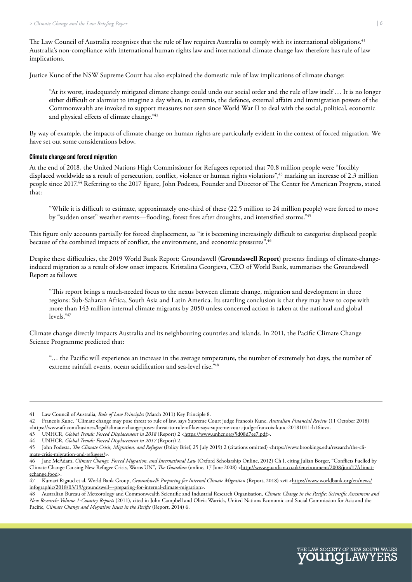<span id="page-5-0"></span>The Law Council of Australia recognises that the rule of law requires Australia to comply with its international obligations.<sup>41</sup> Australia's non-compliance with international human rights law and international climate change law therefore has rule of law implications.

Justice Kunc of the NSW Supreme Court has also explained the domestic rule of law implications of climate change:

"At its worst, inadequately mitigated climate change could undo our social order and the rule of law itself … It is no longer either difficult or alarmist to imagine a day when, in extremis, the defence, external affairs and immigration powers of the Commonwealth are invoked to support measures not seen since World War II to deal with the social, political, economic and physical effects of climate change."42

By way of example, the impacts of climate change on human rights are particularly evident in the context of forced migration. We have set out some considerations below.

#### **Climate change and forced migration**

At the end of 2018, the United Nations High Commissioner for Refugees reported that 70.8 million people were "forcibly displaced worldwide as a result of persecution, conflict, violence or human rights violations",<sup>43</sup> marking an increase of 2.3 million people since 2017.44 Referring to the 2017 figure, John Podesta, Founder and Director of The Center for American Progress, stated that:

"While it is difficult to estimate, approximately one-third of these (22.5 million to 24 million people) were forced to move by "sudden onset" weather events—flooding, forest fires after droughts, and intensified storms."45

This figure only accounts partially for forced displacement, as "it is becoming increasingly difficult to categorise displaced people because of the combined impacts of conflict, the environment, and economic pressures".46

Despite these difficulties, the 2019 World Bank Report: Groundswell (**Groundswell Report**) presents findings of climate-changeinduced migration as a result of slow onset impacts. Kristalina Georgieva, CEO of World Bank, summarises the Groundswell Report as follows:

"This report brings a much-needed focus to the nexus between climate change, migration and development in three regions: Sub-Saharan Africa, South Asia and Latin America. Its startling conclusion is that they may have to cope with more than 143 million internal climate migrants by 2050 unless concerted action is taken at the national and global levels."47

Climate change directly impacts Australia and its neighbouring countries and islands. In 2011, the Pacific Climate Change Science Programme predicted that:

"… the Pacific will experience an increase in the average temperature, the number of extremely hot days, the number of extreme rainfall events, ocean acidification and sea-level rise.<sup>"48</sup>



<sup>41</sup> Law Council of Australia, *Rule of Law Principles* (March 2011) Key Principle 8.

<sup>42</sup> Francois Kunc, "Climate change may pose threat to rule of law, says Supreme Court judge Francois Kunc, *Australian Financial Review* (11 October 2018) <<https://www.afr.com/business/legal/climate-change-poses-threat-to-rule-of-law-says-supreme-court-judge-francois-kunc-20181011-h16iov>>.

<sup>43</sup> UNHCR, *Global Trends: Forced Displacement in 2018* (Report) 2 [<https://www.unhcr.org/5d08d7ee7.pdf](https://www.unhcr.org/5d08d7ee7.pdf)>.<br>44 UNHCR, *Global Trends: Forced Displacement in 2017* (Report) 2.

<sup>44</sup> UNHCR, *Global Trends: Forced Displacement in 2017* (Report) 2.

<sup>45</sup> John Podesta, *The Climate Crisis, Migration, and Refugees* (Policy Brief, 25 July 2019) 2 (citations omitted) [<https://www.brookings.edu/research/the-cli](https://www.brookings.edu/research/the-climate-crisis-migration-and-refugees/)[mate-crisis-migration-and-refugees/](https://www.brookings.edu/research/the-climate-crisis-migration-and-refugees/)>.

Jane McAdam, *Climate Change, Forced Migration, and International Law* (Oxford Scholarship Online, 2012) Ch I, citing Julian Borger, "Conflicts Fuelled by Climate Change Causing New Refugee Crisis, Warns UN", *The Guardian* (online, 17 June 2008) [<http://www.guardian.co.uk/environment/2008/jun/17/climat](http://www.guardian.co.uk/environment/2008/jun/17/climatechange.food)[echange.food](http://www.guardian.co.uk/environment/2008/jun/17/climatechange.food)>.

<sup>47</sup> Kumari Rigaud et al, World Bank Group, *Groundswell: Preparing for Internal Climate Migration* (Report, 2018) xvii <[https://www.worldbank.org/en/news/](https://www.worldbank.org/en/news/infographic/2018/03/19/groundswell---preparing-for-internal-climate-migration) [infographic/2018/03/19/groundswell---preparing-for-internal-climate-migration>](https://www.worldbank.org/en/news/infographic/2018/03/19/groundswell---preparing-for-internal-climate-migration).

<sup>48</sup> Australian Bureau of Meteorology and Commonwealth Scientific and Industrial Research Organisation, *Climate Change in the Pacific: Scientific Assessment and New Research: Volume 1-Country Reports* (2011), cited in John Campbell and Olivia Warrick, United Nations Economic and Social Commission for Asia and the Pacific, *Climate Change and Migration Issues in the Pacific* (Report, 2014) 6.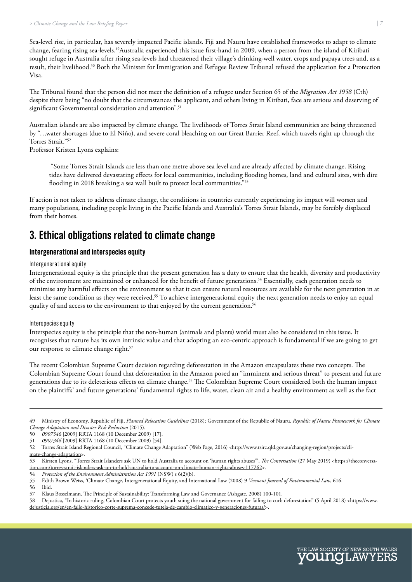<span id="page-6-0"></span>Sea-level rise, in particular, has severely impacted Pacific islands. Fiji and Nauru have established frameworks to adapt to climate change, fearing rising sea-levels.49Australia experienced this issue first-hand in 2009, when a person from the island of Kiribati sought refuge in Australia after rising sea-levels had threatened their village's drinking-well water, crops and papaya trees and, as a result, their livelihood.50 Both the Minister for Immigration and Refugee Review Tribunal refused the application for a Protection Visa.

The Tribunal found that the person did not meet the definition of a refugee under Section 65 of the *Migration Act 1958* (Cth) despite there being "no doubt that the circumstances the applicant, and others living in Kiribati, face are serious and deserving of significant Governmental consideration and attention".<sup>51</sup>

Australian islands are also impacted by climate change. The livelihoods of Torres Strait Island communities are being threatened by "…water shortages (due to El Niño), and severe coral bleaching on our Great Barrier Reef, which travels right up through the Torres Strait."52

Professor Kristen Lyons explains:

 "Some Torres Strait Islands are less than one metre above sea level and are already affected by climate change. Rising tides have delivered devastating effects for local communities, including flooding homes, land and cultural sites, with dire flooding in 2018 breaking a sea wall built to protect local communities."<sup>53</sup>

If action is not taken to address climate change, the conditions in countries currently experiencing its impact will worsen and many populations, including people living in the Pacific Islands and Australia's Torres Strait Islands, may be forcibly displaced from their homes.

### **3. Ethical obligations related to climate change**

#### **Intergenerational and interspecies equity**

Intergenerational equity

Intergenerational equity is the principle that the present generation has a duty to ensure that the health, diversity and productivity of the environment are maintained or enhanced for the benefit of future generations.54 Essentially, each generation needs to minimise any harmful effects on the environment so that it can ensure natural resources are available for the next generation in at least the same condition as they were received.<sup>55</sup> To achieve intergenerational equity the next generation needs to enjoy an equal quality of and access to the environment to that enjoyed by the current generation.<sup>56</sup>

#### Interspecies equity

Interspecies equity is the principle that the non-human (animals and plants) world must also be considered in this issue. It recognises that nature has its own intrinsic value and that adopting an eco-centric approach is fundamental if we are going to get our response to climate change right.<sup>57</sup>

The recent Colombian Supreme Court decision regarding deforestation in the Amazon encapsulates these two concepts. The Colombian Supreme Court found that deforestation in the Amazon posed an "imminent and serious threat" to present and future generations due to its deleterious effects on climate change.58 The Colombian Supreme Court considered both the human impact on the plaintiffs' and future generations' fundamental rights to life, water, clean air and a healthy environment as well as the fact



<sup>49</sup> Ministry of Economy, Republic of Fiji, *Planned Relocation Guidelines* (2018); Government of the Republic of Nauru, *Republic of Nauru Framework for Climate Change Adaptation and Disaster Risk Reduction* (2015).

<sup>50</sup> *0907346* [2009] RRTA 1168 (10 December 2009) [17].

<sup>51</sup> *0907346* [2009] RRTA 1168 (10 December 2009) [54].

<sup>52</sup> Torres Strait Island Regional Council, "Climate Change Adaptation" (Web Page, 2016) [<http://www.tsirc.qld.gov.au/changing-region/projects/cli](http://www.tsirc.qld.gov.au/changing-region/projects/climate-change-adaptation)[mate-change-adaptation](http://www.tsirc.qld.gov.au/changing-region/projects/climate-change-adaptation)>.

<sup>53</sup> Kirsten Lyons, "Torres Strait Islanders ask UN to hold Australia to account on 'human rights abuses'", *The Conversation* (27 May 2019) <[https://theconversa](https://theconversation.com/torres-strait-islanders-ask-un-to-hold-australia-to-account-on-climate-human-rights-abuses-117262)[tion.com/torres-strait-islanders-ask-un-to-hold-australia-to-account-on-climate-human-rights-abuses-117262>](https://theconversation.com/torres-strait-islanders-ask-un-to-hold-australia-to-account-on-climate-human-rights-abuses-117262).

<sup>54</sup> *Protection of the Environment Administration Act 1991* (NSW) s 6(2)(b).<br>55 Edith Brown Weiss, 'Climate Change, Intergenerational Equity, and Int

<sup>55</sup> Edith Brown Weiss, 'Climate Change, Intergenerational Equity, and International Law (2008) 9 *Vermont Journal of Environmental Law*, 616.

Ibid.

<sup>57</sup> Klaus Bosselmann, The Principle of Sustainability: Transforming Law and Governance (Ashgate, 2008) 100-101.

<sup>58</sup> Dejustica, "In historic ruling, Colombian Court protects youth suing the national government for failing to curb deforestation" (5 April 2018) <[https://www.](https://www.dejusticia.org/en/en-fallo-historico-corte-suprema-concede-tutela-de-cambio-climatico-y-generaciones-futuras/) [dejusticia.org/en/en-fallo-historico-corte-suprema-concede-tutela-de-cambio-climatico-y-generaciones-futuras/](https://www.dejusticia.org/en/en-fallo-historico-corte-suprema-concede-tutela-de-cambio-climatico-y-generaciones-futuras/)>.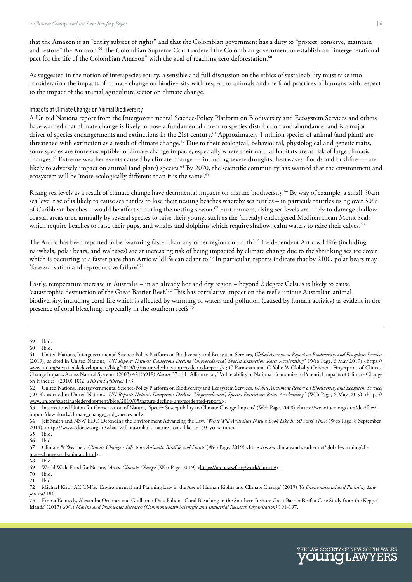<span id="page-7-0"></span>that the Amazon is an "entity subject of rights" and that the Colombian government has a duty to "protect, conserve, maintain and restore" the Amazon.59 The Colombian Supreme Court ordered the Colombian government to establish an "intergenerational pact for the life of the Colombian Amazon" with the goal of reaching zero deforestation.<sup>60</sup>

As suggested in the notion of interspecies equity, a sensible and full discussion on the ethics of sustainability must take into consideration the impacts of climate change on biodiversity with respect to animals and the food practices of humans with respect to the impact of the animal agriculture sector on climate change.

#### Impacts of Climate Change on Animal Biodiversity

A United Nations report from the Intergovernmental Science-Policy Platform on Biodiversity and Ecosystem Services and others have warned that climate change is likely to pose a fundamental threat to species distribution and abundance, and is a major driver of species endangerments and extinctions in the 21st century.<sup>61</sup> Approximately 1 million species of animal (and plant) are threatened with extinction as a result of climate change.<sup>62</sup> Due to their ecological, behavioural, physiological and genetic traits, some species are more susceptible to climate change impacts, especially where their natural habitats are at risk of large climatic changes.63 Extreme weather events caused by climate change — including severe droughts, heatwaves, floods and bushfire — are likely to adversely impact on animal (and plant) species.<sup>64</sup> By 2070, the scientific community has warned that the environment and ecosystem will be 'more ecologically different than it is the same'.<sup>65</sup>

Rising sea levels as a result of climate change have detrimental impacts on marine biodiversity.<sup>66</sup> By way of example, a small 50cm sea level rise of is likely to cause sea turtles to lose their nesting beaches whereby sea turtles – in particular turtles using over 30% of Caribbean beaches – would be affected during the nesting season.<sup>67</sup> Furthermore, rising sea levels are likely to damage shallow coastal areas used annually by several species to raise their young, such as the (already) endangered Mediterranean Monk Seals which require beaches to raise their pups, and whales and dolphins which require shallow, calm waters to raise their calves.<sup>68</sup>

The Arctic has been reported to be 'warming faster than any other region on Earth'.<sup>69</sup> Ice dependent Artic wildlife (including narwhals, polar bears, and walruses) are at increasing risk of being impacted by climate change due to the shrinking sea ice cover which is occurring at a faster pace than Artic wildlife can adapt to.<sup>70</sup> In particular, reports indicate that by 2100, polar bears may 'face starvation and reproductive failure'.<sup>71</sup>

Lastly, temperature increase in Australia – in an already hot and dry region – beyond 2 degree Celsius is likely to cause 'catastrophic destruction of the Great Barrier Reef.'72 This has correlative impact on the reef's unique Australian animal biodiversity, including coral life which is affected by warming of waters and pollution (caused by human activity) as evident in the presence of coral bleaching, especially in the southern reefs.73

65 Ibid.

70 Ibid.

[Ibid.](https://arcticwwf.org/work/climate/)



<sup>59</sup> Ibid.

<sup>60</sup> Ibid.

<sup>61</sup> United Nations, Intergovernmental Science-Policy Platform on Biodiversity and Ecosystem Services, *Global Assessment Report on Biodiversity and Ecosystem Services* (2019), as cited in United Nations, '*UN Report: Nature's Dangerous Decline 'Unprecedented'; Species Extinction Rates 'Accelerating*'' (Web Page, 6 May 2019) <[https://](https://www.un.org/sustainabledevelopment/blog/2019/05/nature-decline-unprecedented-report/) [www.un.org/sustainabledevelopment/blog/2019/05/nature-decline-unprecedented-report/](https://www.un.org/sustainabledevelopment/blog/2019/05/nature-decline-unprecedented-report/)>.; C Parmesan and G Yohe 'A Globally Coherent Fingerprint of Climate Change Impacts Across Natural Systems' (2003) 421(6918) *Nature* 37; E H Allison et al, "Vulnerability of National Economies to Potential Impacts of Climate Change on Fisheries" (2010) 10(2) *Fish and Fisheries* 173.

<sup>62</sup> United Nations, Intergovernmental Science-Policy Platform on Biodiversity and Ecosystem Services, *Global Assessment Report on Biodiversity and Ecosystem Services* (2019), as cited in United Nations, '*UN Report: Nature's Dangerous Decline 'Unprecedented'; Species Extinction Rates 'Accelerating*'' (Web Page, 6 May 2019) <[https://](https://www.un.org/sustainabledevelopment/blog/2019/05/nature-decline-unprecedented-report/) [www.un.org/sustainabledevelopment/blog/2019/05/nature-decline-unprecedented-report/](https://www.un.org/sustainabledevelopment/blog/2019/05/nature-decline-unprecedented-report/)>.

<sup>63</sup> International Union for Conservation of Nature, 'Species Susceptibility to Climate Change Impacts' (Web Page, 2008) <[https://www.iucn.org/sites/dev/files/](https://www.iucn.org/sites/dev/files/import/downloads/climate_change_and_species.pdf) [import/downloads/climate\\_change\\_and\\_species.pdf>](https://www.iucn.org/sites/dev/files/import/downloads/climate_change_and_species.pdf).

<sup>64</sup> Jeff Smith and NSW EDO Defending the Environment Advancing the Law, '*What Will Australia's Nature Look Like In 50 Years' Time?* (Web Page, 8 September 2014) [<https://www.edonsw.org.au/what\\_will\\_australia\\_s\\_nature\\_look\\_like\\_in\\_50\\_years\\_time](https://www.edonsw.org.au/what_will_australia_s_nature_look_like_in_50_years_time)>.<br>65\_\_Ibid.

Ibid.

<sup>67</sup> Climate & Weather, '*Climate Change - Effects on Animals, Birdlife and Plants'* (Web Page, 2019) <[https://www.climateandweather.net/global-warming/cli](https://www.climateandweather.net/global-warming/climate-change-and-animals.html)[mate-change-and-animals.html>](https://www.climateandweather.net/global-warming/climate-change-and-animals.html).

<sup>68</sup> Ibid.

<sup>69</sup> World Wide Fund for Nature, '*Arctic Climate Change'* (Web Page, 2019) [<https://arcticwwf.org/work/climate/>](https://arcticwwf.org/work/climate/).

<sup>72</sup> Michael Kirby AC CMG, 'Environmental and Planning Law in the Age of Human Rights and Climate Change' (2019) 36 *Environmental and Planning Law Journal* 181.

<sup>73</sup> Emma Kennedy, Alexandra Ordoñez and Guillermo Diaz-Pulido, 'Coral Bleaching in the Southern Inshore Great Barrier Reef: a Case Study from the Keppel Islands' (2017) 69(1) *Marine and Freshwater Research (Commonwealth Scientific and Industrial Research Organisation)* 191-197.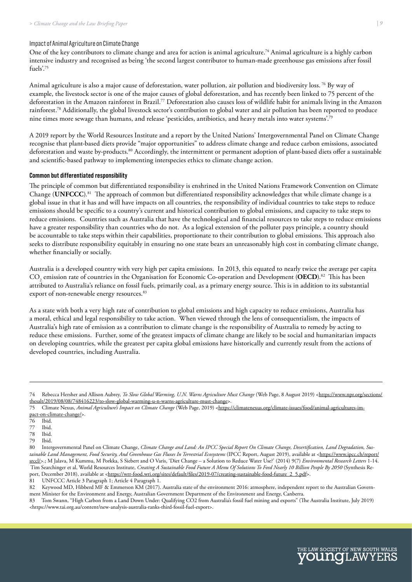#### <span id="page-8-0"></span>Impact of Animal Agriculture on Climate Change

One of the key contributors to climate change and area for action is animal agriculture.<sup>74</sup> Animal agriculture is a highly carbon intensive industry and recognised as being 'the second largest contributor to human-made greenhouse gas emissions after fossil fuels'.75

Animal agriculture is also a major cause of deforestation, water pollution, air pollution and biodiversity loss.<sup>76</sup> By way of example, the livestock sector is one of the major causes of global deforestation, and has recently been linked to 75 percent of the deforestation in the Amazon rainforest in Brazil.<sup>77</sup> Deforestation also causes loss of wildlife habit for animals living in the Amazon rainforest.78 Additionally, the global livestock sector's contribution to global water and air pollution has been reported to produce nine times more sewage than humans, and release 'pesticides, antibiotics, and heavy metals into water systems'.79

A 2019 report by the World Resources Institute and a report by the United Nations' Intergovernmental Panel on Climate Change recognise that plant-based diets provide "major opportunities" to address climate change and reduce carbon emissions, associated deforestation and waste by-products.80 Accordingly, the intermittent or permanent adoption of plant-based diets offer a sustainable and scientific-based pathway to implementing interspecies ethics to climate change action.

#### **Common but differentiated responsibility**

The principle of common but differentiated responsibility is enshrined in the United Nations Framework Convention on Climate Change (**UNFCCC**).81 The approach of common but differentiated responsibility acknowledges that while climate change is a global issue in that it has and will have impacts on all countries, the responsibility of individual countries to take steps to reduce emissions should be specific to a country's current and historical contribution to global emissions, and capacity to take steps to reduce emissions. Countries such as Australia that have the technological and financial resources to take steps to reduce emissions have a greater responsibility than countries who do not. As a logical extension of the polluter pays principle, a country should be accountable to take steps within their capabilities, proportionate to their contribution to global emissions. This approach also seeks to distribute responsibility equitably in ensuring no one state bears an unreasonably high cost in combating climate change, whether financially or socially.

Australia is a developed country with very high per capita emissions. In 2013, this equated to nearly twice the average per capita  $\rm CO_2$  emission rate of countries in the Organisation for Economic Co-operation and Development (**OECD**).<sup>82</sup> This has been attributed to Australia's reliance on fossil fuels, primarily coal, as a primary energy source. This is in addition to its substantial export of non-renewable energy resources.<sup>83</sup>

As a state with both a very high rate of contribution to global emissions and high capacity to reduce emissions, Australia has a moral, ethical and legal responsibility to take action. When viewed through the lens of consequentialism, the impacts of Australia's high rate of emission as a contribution to climate change is the responsibility of Australia to remedy by acting to reduce these emissions. Further, some of the greatest impacts of climate change are likely to be social and humanitarian impacts on developing countries, while the greatest per capita global emissions have historically and currently result from the actions of developed countries, including Australia.

77 Ibid.

78 Ibid.

Ibid.



<sup>74</sup> Rebecca Hersher and Allison Aubrey, *To Slow Global Warming, U.N. Warns Agriculture Must Change* (Web Page, 8 August 2019) <[https://www.npr.org/sections/](https://www.npr.org/sections/thesalt/2019/08/08/748416223/to-slow-global-warming-u-n-warns-agriculture-must-change) [thesalt/2019/08/08/748416223/to-slow-global-warming-u-n-warns-agriculture-must-change>](https://www.npr.org/sections/thesalt/2019/08/08/748416223/to-slow-global-warming-u-n-warns-agriculture-must-change).

<sup>75</sup> Climate Nexus, *Animal Agriculture's Impact on Climate Change* (Web Page, 2019) <[https://climatenexus.org/climate-issues/food/animal-agricultures-im](https://climatenexus.org/climate-issues/food/animal-agricultures-impact-on-climate-change/)[pact-on-climate-change/>](https://climatenexus.org/climate-issues/food/animal-agricultures-impact-on-climate-change/).

<sup>76</sup> Ibid.

<sup>80</sup> Intergovernmental Panel on Climate Change, *Climate Change and Land: An IPCC Special Report On Climate Change, Desertification, Land Degradation, Sus*tainable Land Management, Food Security, And Greenhouse Gas Fluxes In Terrestrial Ecosystems (IPCC Report, August 2019), available at <https://www.ipcc.ch/report/ srccl/>.; M Jalava, M Kummu, M Porkka, S Siebert and O Varis, 'Diet Change – a Solution to Reduce Water Use?' (2014) 9(7) *Environmental Research Letters* 1-14. Tim Searchinger et al, World Resources Institute, *Creating A Sustainable Food Future A Menu Of Solutions To Feed Nearly 10 Billion People By 2050* (Synthesis Re-port, December 2018), available at [<https://wrr-food.wri.org/sites/default/files/2019-07/creating-sustainable-food-future\\_2\\_5.pdf](https://wrr-food.wri.org/sites/default/files/2019-07/creating-sustainable-food-future_2_5.pdf)>.

<sup>81</sup> UNFCCC Article 3 Paragraph 1; Article 4 Paragraph 1.

<sup>82</sup> Keywood MD, Hibberd MF & Emmerson KM (2017). Australia state of the environment 2016: atmosphere, independent report to the Australian Government Minister for the Environment and Energy, Australian Government Department of the Environment and Energy, Canberra.

<sup>83</sup> Tom Swann, "High Carbon from a Land Down Under: Qualifying CO2 from Australia's fossil fuel mining and exports" (The Australia Institute, July 2019) <https://www.tai.org.au/content/new-analysis-australia-ranks-third-fossil-fuel-export>.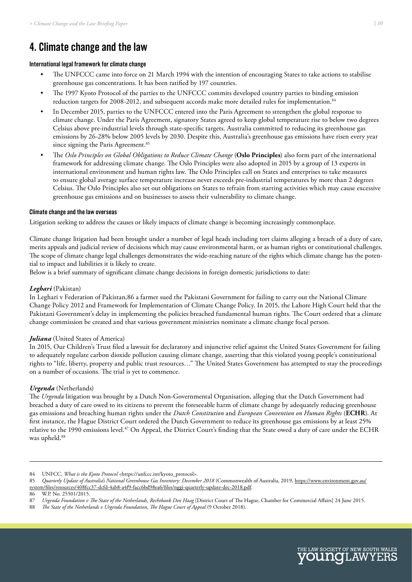# <span id="page-9-0"></span>**4. Climate change and the law**

#### **International legal framework for climate change**

- The UNFCCC came into force on 21 March 1994 with the intention of encouraging States to take actions to stabilise greenhouse gas concentrations. It has been ratified by 197 countries.
- The 1997 Kyoto Protocol of the parties to the UNFCCC commits developed country parties to binding emission reduction targets for 2008-2012, and subsequent accords make more detailed rules for implementation.<sup>84</sup>
- In December 2015, parties to the UNFCCC entered into the Paris Agreement to strengthen the global response to climate change. Under the Paris Agreement, signatory States agreed to keep global temperature rise to below two degrees Celsius above pre-industrial levels through state-specific targets. Australia committed to reducing its greenhouse gas emissions by 26-28% below 2005 levels by 2030. Despite this, Australia's greenhouse gas emissions have risen every year since signing the Paris Agreement.<sup>85</sup>
- The *Oslo Principles on Global Obligations to Reduce Climate Change* (**Oslo Principles**) also form part of the international framework for addressing climate change. The Oslo Principles were also adopted in 2015 by a group of 13 experts in international environment and human rights law. The Oslo Principles call on States and enterprises to take measures to ensure global average surface temperature increase never exceeds pre-industrial temperatures by more than 2 degrees Celsius. The Oslo Principles also set out obligations on States to refrain from starting activities which may cause excessive greenhouse gas emissions and on businesses to assess their vulnerability to climate change.

#### **Climate change and the law overseas**

Litigation seeking to address the causes or likely impacts of climate change is becoming increasingly commonplace.

Climate change litigation had been brought under a number of legal heads including tort claims alleging a breach of a duty of care, merits appeals and judicial review of decisions which may cause environmental harm, or as human rights or constitutional challenges. The scope of climate change legal challenges demonstrates the wide-reaching nature of the rights which climate change has the potential to impact and liabilities it is likely to create.

Below is a brief summary of significant climate change decisions in foreign domestic jurisdictions to date:

#### *Leghari* (Pakistan)

In Leghari v Federation of Pakistan,86 a farmer sued the Pakistani Government for failing to carry out the National Climate Change Policy 2012 and Framework for Implementation of Climate Change Policy. In 2015, the Lahore High Court held that the Pakistani Government's delay in implementing the policies breached fundamental human rights. The Court ordered that a climate change commission be created and that various government ministries nominate a climate change focal person.

#### *Juliana* (United States of America)

In 2015, Our Children's Trust filed a lawsuit for declaratory and injunctive relief against the United States Government for failing to adequately regulate carbon dioxide pollution causing climate change, asserting that this violated young people's constitutional rights to "life, liberty, property and public trust resources…" The United States Government has attempted to stay the proceedings on a number of occasions. The trial is yet to commence.

#### *Urgenda* (Netherlands)

The *Urgenda* litigation was brought by a Dutch Non-Governmental Organisation, alleging that the Dutch Government had breached a duty of care owed to its citizens to prevent the foreseeable harm of climate change by adequately reducing greenhouse gas emissions and breaching human rights under the *Dutch Constitution* and *European Convention on Human Rights* (**ECHR**). At first instance, the Hague District Court ordered the Dutch Government to reduce its greenhouse gas emissions by at least 25% relative to the 1990 emissions level.87 On Appeal, the District Court's finding that the State owed a duty of care under the ECHR was upheld.<sup>88</sup>



<sup>84</sup> UNFCC, *What is the Kyoto Protocol* <https://unfccc.int/kyoto\_protocol>.

<sup>85</sup> *Quarterly Update of Australia's National Greenhouse Gas Inventory: December 2018* (Commonwealth of Australia, 2019, [https://www.environment.gov.au/](https://www.environment.gov.au/system/files/resources/408fcc37-dcfd-4ab8-a4f9-facc6bd98ea6/files/nggi-quarterly-update-dec-2018.pdf) [system/files/resources/408fcc37-dcfd-4ab8-a4f9-facc6bd98ea6/files/nggi-quarterly-update-dec-2018.pdf.](https://www.environment.gov.au/system/files/resources/408fcc37-dcfd-4ab8-a4f9-facc6bd98ea6/files/nggi-quarterly-update-dec-2018.pdf)

<sup>86</sup> W.P. No. 25501/2015.

<sup>87</sup> *Urgenda Foundation v The State of the Netherlands*, *Rechtbank Den Haag* [District Court of The Hague, Chamber for Commercial Affairs] 24 June 2015.

<sup>88</sup> *The State of the Netherlands v Urgenda Foundation*, *The Hague Court of Appeal* (9 October 2018).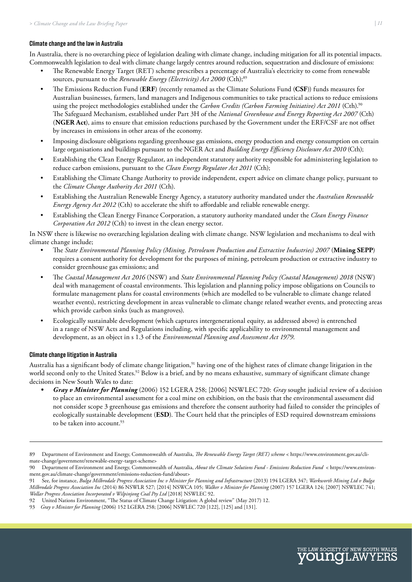#### <span id="page-10-0"></span>**Climate change and the law in Australia**

In Australia, there is no overarching piece of legislation dealing with climate change, including mitigation for all its potential impacts. Commonwealth legislation to deal with climate change largely centres around reduction, sequestration and disclosure of emissions:

- The Renewable Energy Target (RET) scheme prescribes a percentage of Australia's electricity to come from renewable sources, pursuant to the *Renewable Energy (Electricity) Act 2000* (Cth);<sup>89</sup>
- The Emissions Reduction Fund (**ERF**) (recently renamed as the Climate Solutions Fund (**CSF**)) funds measures for Australian businesses, farmers, land managers and Indigenous communities to take practical actions to reduce emissions using the project methodologies established under the *Carbon Credits (Carbon Farming Initiative) Act 2011* (Cth).90 The Safeguard Mechanism, established under Part 3H of the *National Greenhouse and Energy Reporting Act 2007* (Cth) (**NGER Act**), aims to ensure that emission reductions purchased by the Government under the ERF/CSF are not offset by increases in emissions in other areas of the economy.
- Imposing disclosure obligations regarding greenhouse gas emissions, energy production and energy consumption on certain large organisations and buildings pursuant to the NGER Act and *Building Energy Efficiency Disclosure Act 2010* (Cth);
- Establishing the Clean Energy Regulator, an independent statutory authority responsible for administering legislation to reduce carbon emissions, pursuant to the *Clean Energy Regulator Act 2011* (Cth);
- Establishing the Climate Change Authority to provide independent, expert advice on climate change policy, pursuant to the *Climate Change Authority Act 2011* (Cth).
- Establishing the Australian Renewable Energy Agency, a statutory authority mandated under the *Australian Renewable Energy Agency Act 2012* (Cth) to accelerate the shift to affordable and reliable renewable energy.
- Establishing the Clean Energy Finance Corporation, a statutory authority mandated under the *Clean Energy Finance Corporation Act 2012* (Cth) to invest in the clean energy sector.

In NSW there is likewise no overarching legislation dealing with climate change. NSW legislation and mechanisms to deal with climate change include;

- The *State Environmental Planning Policy (Mining, Petroleum Production and Extractive Industries) 2007* (**Mining SEPP**) requires a consent authority for development for the purposes of mining, petroleum production or extractive industry to consider greenhouse gas emissions; and
- The *Coastal Management Act 2016* (NSW) and *State Environmental Planning Policy (Coastal Management) 2018* (NSW) deal with management of coastal environments. This legislation and planning policy impose obligations on Councils to formulate management plans for coastal environments (which are modelled to be vulnerable to climate change related weather events), restricting development in areas vulnerable to climate change related weather events, and protecting areas which provide carbon sinks (such as mangroves).
- Ecologically sustainable development (which captures intergenerational equity, as addressed above) is entrenched in a range of NSW Acts and Regulations including, with specific applicability to environmental management and development, as an object in s 1.3 of the *Environmental Planning and Assessment Act 1979*.

#### **Climate change litigation in Australia**

Australia has a significant body of climate change litigation,<sup>91</sup> having one of the highest rates of climate change litigation in the world second only to the United States.<sup>92</sup> Below is a brief, and by no means exhaustive, summary of significant climate change decisions in New South Wales to date:

*• Gray v Minister for Planning* (2006) 152 LGERA 258; [2006] NSWLEC 720: *Gray* sought judicial review of a decision to place an environmental assessment for a coal mine on exhibition, on the basis that the environmental assessment did not consider scope 3 greenhouse gas emissions and therefore the consent authority had failed to consider the principles of ecologically sustainable development (**ESD**). The Court held that the principles of ESD required downstream emissions to be taken into account.<sup>93</sup>



<sup>89</sup> Department of Environment and Energy, Commonwealth of Australia, *The Renewable Energy Target (RET) scheme* < https://www.environment.gov.au/climate-change/government/renewable-energy-target-scheme>

<sup>90</sup> Department of Environment and Energy, Commonwealth of Australia, *About the Climate Solutions Fund - Emissions Reduction Fund* < https://www.environment.gov.au/climate-change/government/emissions-reduction-fund/about>

<sup>91</sup> See, for instance, *Bulga Milbrodale Progress Association Inc v Minister for Planning and Infrastructure* (2013) 194 LGERA 347; *Warkworth Mining Ltd v Bulga Milbrodale Progress Association Inc* (2014) 86 NSWLR 527; [2014] NSWCA 105; *Walker v Minister for Planning* (2007) 157 LGERA 124; [2007] NSWLEC 741; *Wollar Progress Association Incorporated v Wilpinjong Coal Pty Ltd* [2018] NSWLEC 92.

<sup>92</sup> United Nations Environment, "The Status of Climate Change Litigation: A global review" (May 2017) 12.

<sup>93</sup> *Gray v Minister for Planning* (2006) 152 LGERA 258; [2006] NSWLEC 720 [122], [125] and [131].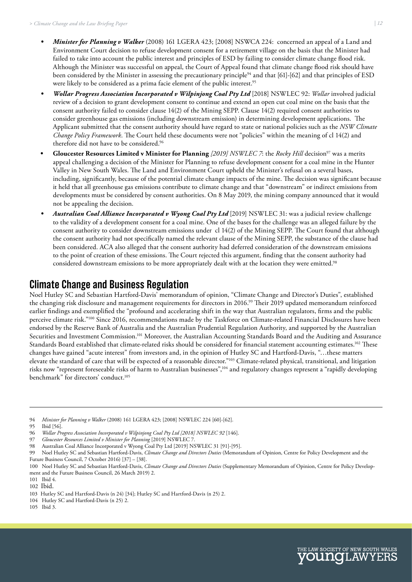- *• Minister for Planning v Walker* (2008) 161 LGERA 423; [2008] NSWCA 224: concerned an appeal of a Land and Environment Court decision to refuse development consent for a retirement village on the basis that the Minister had failed to take into account the public interest and principles of ESD by failing to consider climate change flood risk. Although the Minister was successful on appeal, the Court of Appeal found that climate change flood risk should have been considered by the Minister in assessing the precautionary principle<sup>94</sup> and that [61]-[62] and that principles of ESD were likely to be considered as a prima facie element of the public interest.<sup>95</sup>
- *• Wollar Progress Association Incorporated v Wilpinjong Coal Pty Ltd* [2018] NSWLEC 92: *Wollar* involved judicial review of a decision to grant development consent to continue and extend an open cut coal mine on the basis that the consent authority failed to consider clause 14(2) of the Mining SEPP. Clause 14(2) required consent authorities to consider greenhouse gas emissions (including downstream emission) in determining development applications. The Applicant submitted that the consent authority should have regard to state or national policies such as the *NSW Climate Change Policy Framework*. The Court held these documents were not "policies" within the meaning of cl 14(2) and therefore did not have to be considered.96
- **Gloucester Resources Limited v Minister for Planning** [2019] NSWLEC 7: the Rocky Hill decision<sup>97</sup> was a merits appeal challenging a decision of the Minister for Planning to refuse development consent for a coal mine in the Hunter Valley in New South Wales. The Land and Environment Court upheld the Minister's refusal on a several bases, including, significantly, because of the potential climate change impacts of the mine. The decision was significant because it held that all greenhouse gas emissions contribute to climate change and that "downstream" or indirect emissions from developments must be considered by consent authorities. On 8 May 2019, the mining company announced that it would not be appealing the decision.
- *Australian Coal Alliance Incorporated v Wyong Coal Pty Ltd* [2019] NSWLEC 31: was a judicial review challenge to the validity of a development consent for a coal mine. One of the bases for the challenge was an alleged failure by the consent authority to consider downstream emissions under cl 14(2) of the Mining SEPP. The Court found that although the consent authority had not specifically named the relevant clause of the Mining SEPP, the substance of the clause had been considered. ACA also alleged that the consent authority had deferred consideration of the downstream emissions to the point of creation of these emissions. The Court rejected this argument, finding that the consent authority had considered downstream emissions to be more appropriately dealt with at the location they were emitted.98

### **Climate Change and Business Regulation**

Noel Hutley SC and Sebastian Hartford-Davis' memorandum of opinion, "Climate Change and Director's Duties", established the changing risk disclosure and management requirements for directors in 2016.99 Their 2019 updated memorandum reinforced earlier findings and exemplified the "profound and accelerating shift in the way that Australian regulators, firms and the public perceive climate risk."100 Since 2016, recommendations made by the Taskforce on Climate-related Financial Disclosures have been endorsed by the Reserve Bank of Australia and the Australian Prudential Regulation Authority, and supported by the Australian Securities and Investment Commission.<sup>101</sup> Moreover, the Australian Accounting Standards Board and the Auditing and Assurance Standards Board established that climate-related risks should be considered for financial statement accounting estimates.102 These changes have gained "acute interest" from investors and, in the opinion of Hutley SC and Hartford-Davis, "…these matters elevate the standard of care that will be expected of a reasonable director."103 Climate-related physical, transitional, and litigation risks now "represent foreseeable risks of harm to Australian businesses",104 and regulatory changes represent a "rapidly developing benchmark" for directors' conduct.<sup>105</sup>

- 97 *Gloucester Resources Limited v Minister for Planning* [2019] NSWLEC 7.
- 98 Australian Coal Alliance Incorporated v Wyong Coal Pty Ltd [2019] NSWLEC 31 [91]-[95].<br>99 Noel Hutley SC and Schotting Hartford Davis, Climate Change and Divertor Dutie (Mamora

105 Ibid 3.



<sup>94</sup> *Minister for Planning v Walker* (2008) 161 LGERA 423; [2008] NSWLEC 224 [60]-[62].

Ibid [56].

<sup>96</sup> *Wollar Progress Association Incorporated v Wilpinjong Coal Pty Ltd [2018] NSWLEC 92* [146].

<sup>99</sup> Noel Hutley SC and Sebastian Hartford-Davis, *Climate Change and Directors Duties* (Memorandum of Opinion, Centre for Policy Development and the Future Business Council, 7 October 2016) [37] – [38].

<sup>100</sup> Noel Hutley SC and Sebastian Hartford-Davis, *Climate Change and Directors Duties* (Supplementary Memorandum of Opinion, Centre for Policy Development and the Future Business Council, 26 March 2019) 2.

<sup>101</sup> Ibid 4.

<sup>102</sup> Ibid.

<sup>103</sup> Hutley SC and Hartford-Davis (n 24) [34]; Hutley SC and Hartford-Davis (n 25) 2.

<sup>104</sup> Hutley SC and Hartford-Davis (n 25) 2.